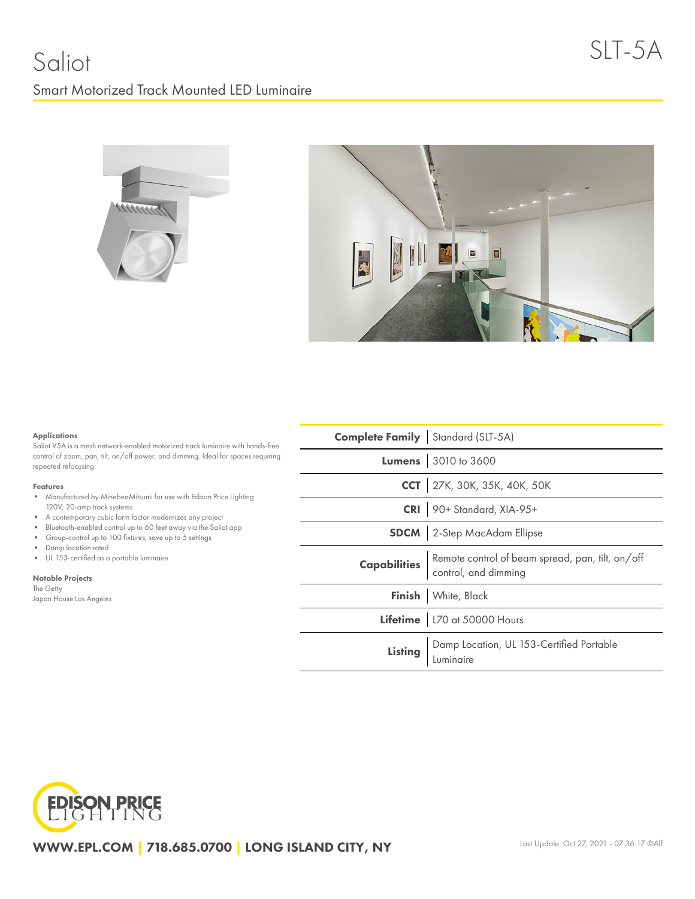## Saliot Smart Motorized Track Mounted LED Luminaire





#### Applications

Saliot V5A is a mesh network-enabled motorized track luminaire with hands-free control of zoom, pan, tilt, on/off power, and dimming. Ideal for spaces requiring repeated refocusing.

#### Features

- $\bullet$ Manufactured by MinebeaMitsumi for use with Edison Price Lighting 120V, 20-amp track systems
- A contemporary cubic form factor modernizes any project
- Bluetooth-enabled control up to 60 feet away via the Saliot app
- Group-control up to 100 fixtures; save up to 5 settings
- Damp location rated
- UL 153-certified as a portable luminaire

Notable Projects The Getty Japan House Los Angeles

| <b>Complete Family</b> Standard (SLT-5A)                                                     |                                                               |  |  |
|----------------------------------------------------------------------------------------------|---------------------------------------------------------------|--|--|
|                                                                                              | <b>Lumens</b> 3010 to 3600                                    |  |  |
|                                                                                              | CCT 27K, 30K, 35K, 40K, 50K                                   |  |  |
|                                                                                              | CRI 90+ Standard, XIA-95+                                     |  |  |
|                                                                                              | <b>SDCM</b> 2-Step MacAdam Ellipse                            |  |  |
| <b>Capabilities</b> Remote control of beam spread, pan, tilt, on/off<br>control, and dimming |                                                               |  |  |
|                                                                                              | Finish White, Black                                           |  |  |
|                                                                                              | Lifetime   L70 at 50000 Hours                                 |  |  |
|                                                                                              | Listing Damp Location, UL 153-Certified Portable<br>Luminaire |  |  |



WWW.EPL.COM | 718.685.0700 | LONG ISLAND CITY, NY